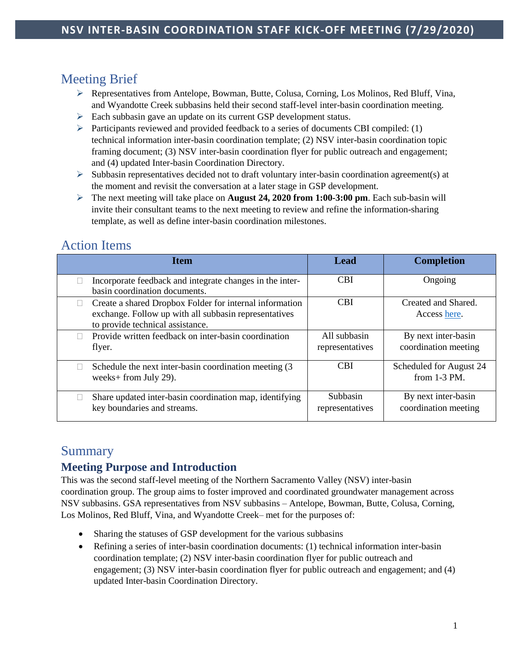# Meeting Brief

- Representatives from Antelope, Bowman, Butte, Colusa, Corning, Los Molinos, Red Bluff, Vina, and Wyandotte Creek subbasins held their second staff-level inter-basin coordination meeting.
- $\triangleright$  Each subbasin gave an update on its current GSP development status.
- Participants reviewed and provided feedback to a series of documents CBI compiled:  $(1)$ technical information inter-basin coordination template; (2) NSV inter-basin coordination topic framing document; (3) NSV inter-basin coordination flyer for public outreach and engagement; and (4) updated Inter-basin Coordination Directory.
- $\triangleright$  Subbasin representatives decided not to draft voluntary inter-basin coordination agreement(s) at the moment and revisit the conversation at a later stage in GSP development.
- The next meeting will take place on **August 24, 2020 from 1:00-3:00 pm**. Each sub-basin will invite their consultant teams to the next meeting to review and refine the information-sharing template, as well as define inter-basin coordination milestones.

# Action Items

| <b>Item</b>                                                                                                                                          | Lead                               | <b>Completion</b>                           |
|------------------------------------------------------------------------------------------------------------------------------------------------------|------------------------------------|---------------------------------------------|
| Incorporate feedback and integrate changes in the inter-<br>basin coordination documents.                                                            | <b>CBI</b>                         | Ongoing                                     |
| Create a shared Dropbox Folder for internal information<br>exchange. Follow up with all subbasin representatives<br>to provide technical assistance. | <b>CBI</b>                         | Created and Shared.<br>Access here.         |
| Provide written feedback on inter-basin coordination<br>flyer.                                                                                       | All subbasin<br>representatives    | By next inter-basin<br>coordination meeting |
| Schedule the next inter-basin coordination meeting (3)<br>weeks+ from July 29).                                                                      | <b>CBI</b>                         | Scheduled for August 24<br>from $1-3$ PM.   |
| Share updated inter-basin coordination map, identifying<br>key boundaries and streams.                                                               | <b>Subbasin</b><br>representatives | By next inter-basin<br>coordination meeting |

# Summary

### **Meeting Purpose and Introduction**

This was the second staff-level meeting of the Northern Sacramento Valley (NSV) inter-basin coordination group. The group aims to foster improved and coordinated groundwater management across NSV subbasins. GSA representatives from NSV subbasins – Antelope, Bowman, Butte, Colusa, Corning, Los Molinos, Red Bluff, Vina, and Wyandotte Creek– met for the purposes of:

- Sharing the statuses of GSP development for the various subbasins
- Refining a series of inter-basin coordination documents: (1) technical information inter-basin coordination template; (2) NSV inter-basin coordination flyer for public outreach and engagement; (3) NSV inter-basin coordination flyer for public outreach and engagement; and (4) updated Inter-basin Coordination Directory.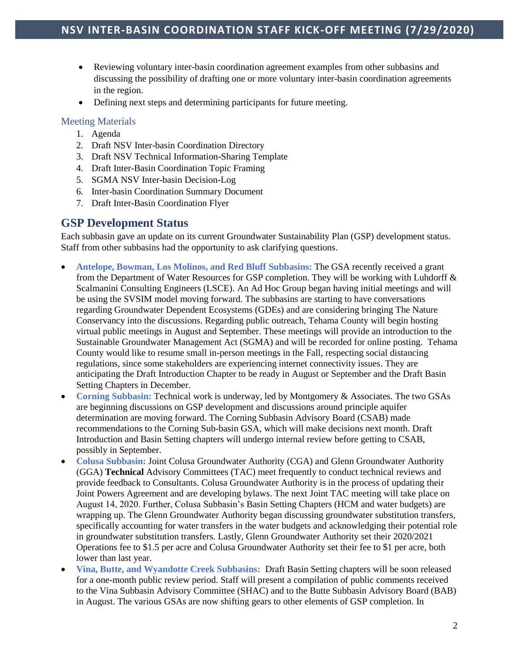- Reviewing voluntary inter-basin coordination agreement examples from other subbasins and discussing the possibility of drafting one or more voluntary inter-basin coordination agreements in the region.
- Defining next steps and determining participants for future meeting.

#### Meeting Materials

- 1. Agenda
- 2. Draft NSV Inter-basin Coordination Directory
- 3. Draft NSV Technical Information-Sharing Template
- 4. Draft Inter-Basin Coordination Topic Framing
- 5. SGMA NSV Inter-basin Decision-Log
- 6. Inter-basin Coordination Summary Document
- 7. Draft Inter-Basin Coordination Flyer

### **GSP Development Status**

Each subbasin gave an update on its current Groundwater Sustainability Plan (GSP) development status. Staff from other subbasins had the opportunity to ask clarifying questions.

- **Antelope, Bowman, Los Molinos, and Red Bluff Subbasins:** The GSA recently received a grant from the Department of Water Resources for GSP completion. They will be working with Luhdorff  $\&$ Scalmanini Consulting Engineers (LSCE). An Ad Hoc Group began having initial meetings and will be using the SVSIM model moving forward. The subbasins are starting to have conversations regarding Groundwater Dependent Ecosystems (GDEs) and are considering bringing The Nature Conservancy into the discussions. Regarding public outreach, Tehama County will begin hosting virtual public meetings in August and September. These meetings will provide an introduction to the Sustainable Groundwater Management Act (SGMA) and will be recorded for online posting. Tehama County would like to resume small in-person meetings in the Fall, respecting social distancing regulations, since some stakeholders are experiencing internet connectivity issues. They are anticipating the Draft Introduction Chapter to be ready in August or September and the Draft Basin Setting Chapters in December.
- **Corning Subbasin:** Technical work is underway, led by Montgomery & Associates. The two GSAs are beginning discussions on GSP development and discussions around principle aquifer determination are moving forward. The Corning Subbasin Advisory Board (CSAB) made recommendations to the Corning Sub-basin GSA, which will make decisions next month. Draft Introduction and Basin Setting chapters will undergo internal review before getting to CSAB, possibly in September.
- **Colusa Subbasin:** Joint Colusa Groundwater Authority (CGA) and Glenn Groundwater Authority (GGA) **Technical** Advisory Committees (TAC) meet frequently to conduct technical reviews and provide feedback to Consultants. Colusa Groundwater Authority is in the process of updating their Joint Powers Agreement and are developing bylaws. The next Joint TAC meeting will take place on August 14, 2020. Further, Colusa Subbasin's Basin Setting Chapters (HCM and water budgets) are wrapping up. The Glenn Groundwater Authority began discussing groundwater substitution transfers, specifically accounting for water transfers in the water budgets and acknowledging their potential role in groundwater substitution transfers. Lastly, Glenn Groundwater Authority set their 2020/2021 Operations fee to \$1.5 per acre and Colusa Groundwater Authority set their fee to \$1 per acre, both lower than last year.
- **Vina, Butte, and Wyandotte Creek Subbasins:** Draft Basin Setting chapters will be soon released for a one-month public review period. Staff will present a compilation of public comments received to the Vina Subbasin Advisory Committee (SHAC) and to the Butte Subbasin Advisory Board (BAB) in August. The various GSAs are now shifting gears to other elements of GSP completion. In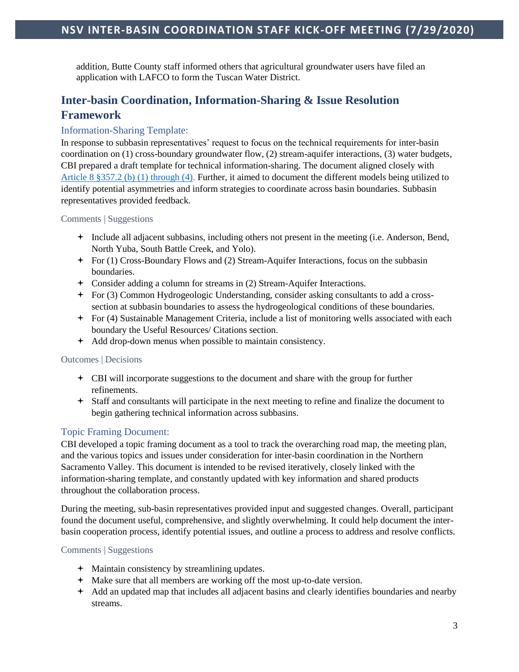addition, Butte County staff informed others that agricultural groundwater users have filed an application with LAFCO to form the Tuscan Water District.

### **Inter-basin Coordination, Information-Sharing & Issue Resolution Framework**

### Information-Sharing Template:

In response to subbasin representatives' request to focus on the technical requirements for inter-basin coordination on (1) cross-boundary groundwater flow, (2) stream-aquifer interactions, (3) water budgets, CBI prepared a draft template for technical information-sharing. The document aligned closely with [Article 8 §357.2 \(b\) \(1\) through \(4\).](https://groundwaterexchange.org/wp-content/uploads/2018/07/GSP-Regs-Art-8-Interagency-Agreements.pdf) Further, it aimed to document the different models being utilized to identify potential asymmetries and inform strategies to coordinate across basin boundaries. Subbasin representatives provided feedback.

#### Comments | Suggestions

- Include all adjacent subbasins, including others not present in the meeting (i.e. Anderson, Bend, North Yuba, South Battle Creek, and Yolo).
- For (1) Cross-Boundary Flows and (2) Stream-Aquifer Interactions, focus on the subbasin boundaries.
- Consider adding a column for streams in (2) Stream-Aquifer Interactions.
- For (3) Common Hydrogeologic Understanding, consider asking consultants to add a crosssection at subbasin boundaries to assess the hydrogeological conditions of these boundaries.
- For (4) Sustainable Management Criteria, include a list of monitoring wells associated with each boundary the Useful Resources/ Citations section.
- Add drop-down menus when possible to maintain consistency.

#### Outcomes | Decisions

- CBI will incorporate suggestions to the document and share with the group for further refinements.
- Staff and consultants will participate in the next meeting to refine and finalize the document to begin gathering technical information across subbasins.

#### Topic Framing Document:

CBI developed a topic framing document as a tool to track the overarching road map, the meeting plan, and the various topics and issues under consideration for inter-basin coordination in the Northern Sacramento Valley. This document is intended to be revised iteratively, closely linked with the information-sharing template, and constantly updated with key information and shared products throughout the collaboration process.

During the meeting, sub-basin representatives provided input and suggested changes. Overall, participant found the document useful, comprehensive, and slightly overwhelming. It could help document the interbasin cooperation process, identify potential issues, and outline a process to address and resolve conflicts.

#### Comments | Suggestions

- Maintain consistency by streamlining updates.
- Make sure that all members are working off the most up-to-date version.
- Add an updated map that includes all adjacent basins and clearly identifies boundaries and nearby streams.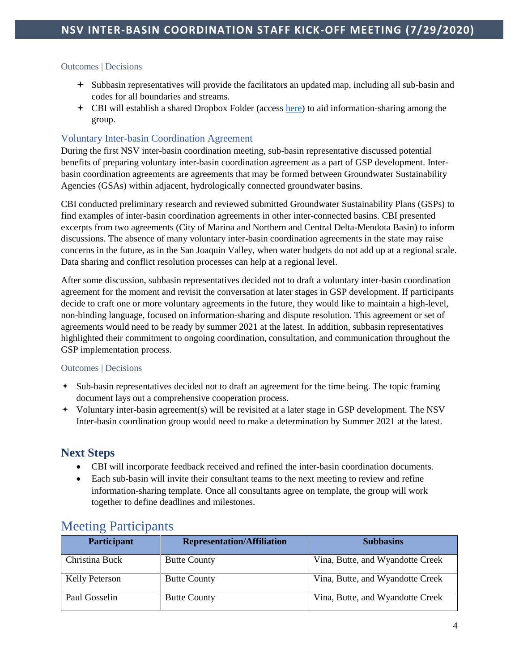#### Outcomes | Decisions

- Subbasin representatives will provide the facilitators an updated map, including all sub-basin and codes for all boundaries and streams.
- CBI will establish a shared Dropbox Folder (access [here\)](https://www.dropbox.com/sh/9d71wsfku53s2gf/AACes77OCGvMKOXHjOeG5NtUa?dl=0) to aid information-sharing among the group.

#### Voluntary Inter-basin Coordination Agreement

During the first NSV inter-basin coordination meeting, sub-basin representative discussed potential benefits of preparing voluntary inter-basin coordination agreement as a part of GSP development. Inter‐ basin coordination agreements are agreements that may be formed between Groundwater Sustainability Agencies (GSAs) within adjacent, hydrologically connected groundwater basins.

CBI conducted preliminary research and reviewed submitted Groundwater Sustainability Plans (GSPs) to find examples of inter-basin coordination agreements in other inter-connected basins. CBI presented excerpts from two agreements (City of Marina and Northern and Central Delta-Mendota Basin) to inform discussions. The absence of many voluntary inter-basin coordination agreements in the state may raise concerns in the future, as in the San Joaquin Valley, when water budgets do not add up at a regional scale. Data sharing and conflict resolution processes can help at a regional level.

After some discussion, subbasin representatives decided not to draft a voluntary inter-basin coordination agreement for the moment and revisit the conversation at later stages in GSP development. If participants decide to craft one or more voluntary agreements in the future, they would like to maintain a high-level, non-binding language, focused on information-sharing and dispute resolution. This agreement or set of agreements would need to be ready by summer 2021 at the latest. In addition, subbasin representatives highlighted their commitment to ongoing coordination, consultation, and communication throughout the GSP implementation process.

#### Outcomes | Decisions

- Sub-basin representatives decided not to draft an agreement for the time being. The topic framing document lays out a comprehensive cooperation process.
- Voluntary inter-basin agreement(s) will be revisited at a later stage in GSP development. The NSV Inter-basin coordination group would need to make a determination by Summer 2021 at the latest.

### **Next Steps**

- CBI will incorporate feedback received and refined the inter-basin coordination documents.
- Each sub-basin will invite their consultant teams to the next meeting to review and refine information-sharing template. Once all consultants agree on template, the group will work together to define deadlines and milestones.

| <b>Participant</b>    | <b>Representation/Affiliation</b> | <b>Subbasins</b>                 |
|-----------------------|-----------------------------------|----------------------------------|
| Christina Buck        | <b>Butte County</b>               | Vina, Butte, and Wyandotte Creek |
| <b>Kelly Peterson</b> | <b>Butte County</b>               | Vina, Butte, and Wyandotte Creek |
| Paul Gosselin         | <b>Butte County</b>               | Vina, Butte, and Wyandotte Creek |

### Meeting Participants